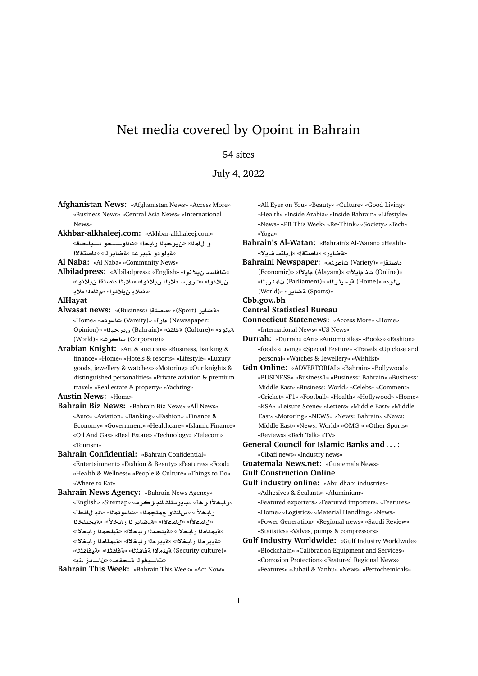# Net media covered by Opoint in Bahrain

### 54 sites

July 4, 2022

- **Afghanistan News:** «Afghanistan News» «Access More» «Business News» «Central Asia News» «International News»
- **Akhbar-alkhaleej.com:** «Akhbar-alkhaleej.com» و للعله» «نير حيلا رايخأ» «ثداو ـــو اــياـضة» «مةيلودو مقيبر ع» «مقاير لله «داصتقلاا
- **Al Naba:** «Al Naba» «Community News»
- **Albiladpress:** «Albiladpress» «English» «**¤®§ sAA**» نيلانوا» «تروبسـ دلابـ11 ن.يلانوا» «دلابـ11 داصتـقا ن.يلانوا» «اندلاب نيلانو ا» «م للعلا دلاب

**AlHayat**

- **Alwasat news:** «(Business) **tOA** » «(Sport) **C§ART**» «Home» «**nwA** (Vareity)» «**Cº** (Newsapaper: Opinion)» «**br§** (Bahrain)» «**qAT** (Culture)» « **¤yT** (World)» «**JrA** (Corporate)»
- **Arabian Knight:** «Art & auctions» «Business, banking & finance» «Home» «Hotels & resorts» «Lifestyle» «Luxury goods, jewellery & watches» «Motoring» «Our knights & distinguished personalities» «Private aviation & premium travel» «Real estate & property» «Yachting»

**Austin News:** «Home»

- **Bahrain Biz News:** «Bahrain Biz News» «All News» «Auto» «Aviation» «Banking» «Fashion» «Finance & Economy» «Government» «Healthcare» «Islamic Finance» «Oil And Gas» «Real Estate» «Technology» «Telecom» «Tourism»
- **Bahrain Confidential:** «Bahrain Confidential» «Entertainment» «Fashion & Beauty» «Features» «Food» «Health & Wellness» «People & Culture» «Things to Do» «Where to Eat»
- **Bahrain News Agency:** «Bahrain News Agency» «English» «Sitemap» «**rz nA ltdC§** » «**r ±bAC**» ر ابخلأا» «سانذاو ـعمتجمذا» «تاعو نمذا» «اندٍ ل!فطأ» «للمعلاًا» «للمعلاًا» «قيضاير 11 رابخلاًا» «قيجيلخلا «**قيمللدل**ا رابخلاا» «قيلحملا رابخلاا» «قيلحملا رابخلاا» «هيدر مثل رايخلاا» «هيدر مثل رايخلاا» «هيمثلمثا رايخلاا» «Security culture) a تينملاا مة فاقتثلا» «قيفاقتثل<sup>ا»</sup> «تاــــيفو 11 <del>آ ـحفص</del>ه «ناــــمز النه»

**Bahrain This Week:** «Bahrain This Week» «Act Now»

«All Eyes on You» «Beauty» «Culture» «Good Living» «Health» «Inside Arabia» «Inside Bahrain» «Lifestyle» «News» «PR This Week» «Re-Think» «Society» «Tech» «Yoga»

- **Bahrain's Al-Watan:** «Bahrain's Al-Watan» «Health» «**¯§ FtA§**» «**tOA** » «**C§ART**»
- **Bahraini Newspaper:** تاعونه» **:Bahraini Newspaper** (Economic)» «**±§A** (Alayam)» «**±§A**  (Online)» «**brmA**  (Parliament)» «**r¶ysyT** (Home)» « **¤¨** (World)» «**C§ART** (Sports)»

**Cbb.gov..bh**

- **Central Statistical Bureau**
- **Connecticut Statenews:** «Access More» «Home» «International News» «US News»
- **Durrah:** «Durrah» «Art» «Automobiles» «Books» «Fashion» «food» «Living» «Special Feature» «Travel» «Up close and personal» «Watches & Jewellery» «Wishlist»
- **Gdn Online:** «ADVERTORIAL» «Bahrain» «Bollywood» «BUSINESS» «Business1» «Business: Bahrain» «Business: Middle East» «Business: World» «Celebs» «Comment» «Cricket» «F1» «Football» «Health» «Hollywood» «Home» «KSA» «Leisure Scene» «Letters» «Middle East» «Middle East» «Motoring» «NEWS» «News: Bahrain» «News: Middle East» «News: World» «OMG!» «Other Sports» «Reviews» «Tech Talk» «TV»
- **General Council for Islamic Banks and . . . :** «Cibafi news» «Industry news»
- **Guatemala News.net:** «Guatemala News» **Gulf Construction Online**
- **Gulf industry online:** «Abu dhabi industries» «Adhesives & Sealants» «Aluminium» «Featured exporters» «Featured importers» «Features» «Home» «Logistics» «Material Handling» «News» «Power Generation» «Regional news» «Saudi Review» «Statistics» «Valves, pumps & compressors»
- **Gulf Industry Worldwide:** «Gulf Industry Worldwide» «Blockchain» «Calibration Equipment and Services» «Corrosion Protection» «Featured Regional News» «Features» «Jubail & Yanbu» «News» «Pertochemicals»